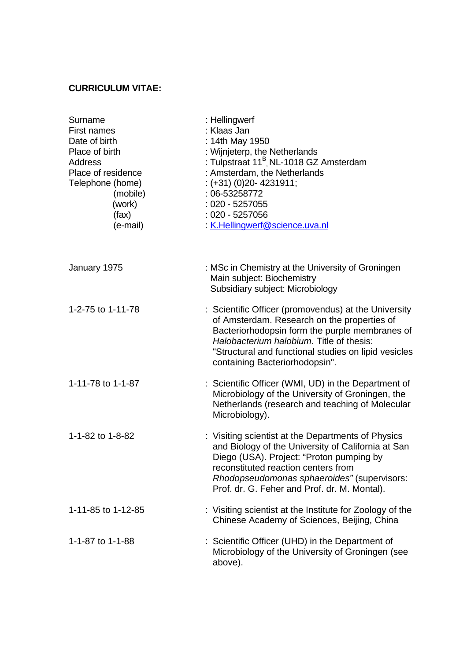## **CURRICULUM VITAE:**

| Surname<br><b>First names</b><br>Date of birth<br>Place of birth<br>Address<br>Place of residence<br>Telephone (home)<br>(mobile)<br>(work)<br>(fax)<br>(e-mail) | : Hellingwerf<br>: Klaas Jan<br>: 14th May 1950<br>: Wijnjeterp, the Netherlands<br>: Tulpstraat 11 <sup>B</sup> , NL-1018 GZ Amsterdam<br>: Amsterdam, the Netherlands<br>$:(+31)(0)20-4231911;$<br>$:06 - 53258772$<br>$:020 - 5257055$<br>$:020 - 5257056$<br>K.Hellingwerf@science.uva.nl |
|------------------------------------------------------------------------------------------------------------------------------------------------------------------|-----------------------------------------------------------------------------------------------------------------------------------------------------------------------------------------------------------------------------------------------------------------------------------------------|
| January 1975                                                                                                                                                     | : MSc in Chemistry at the University of Groningen<br>Main subject: Biochemistry<br>Subsidiary subject: Microbiology                                                                                                                                                                           |
| 1-2-75 to 1-11-78                                                                                                                                                | : Scientific Officer (promovendus) at the University<br>of Amsterdam. Research on the properties of<br>Bacteriorhodopsin form the purple membranes of<br>Halobacterium halobium. Title of thesis:<br>"Structural and functional studies on lipid vesicles<br>containing Bacteriorhodopsin".   |
| 1-11-78 to 1-1-87                                                                                                                                                | : Scientific Officer (WMI, UD) in the Department of<br>Microbiology of the University of Groningen, the<br>Netherlands (research and teaching of Molecular<br>Microbiology).                                                                                                                  |
| 1-1-82 to 1-8-82                                                                                                                                                 | : Visiting scientist at the Departments of Physics<br>and Biology of the University of California at San<br>Diego (USA). Project: "Proton pumping by<br>reconstituted reaction centers from<br>Rhodopseudomonas sphaeroides" (supervisors:<br>Prof. dr. G. Feher and Prof. dr. M. Montal).    |
| 1-11-85 to 1-12-85                                                                                                                                               | : Visiting scientist at the Institute for Zoology of the<br>Chinese Academy of Sciences, Beijing, China                                                                                                                                                                                       |
| 1-1-87 to 1-1-88                                                                                                                                                 | : Scientific Officer (UHD) in the Department of<br>Microbiology of the University of Groningen (see<br>above).                                                                                                                                                                                |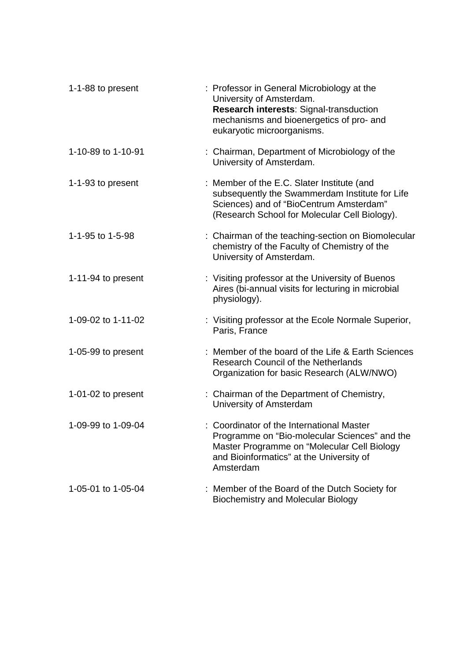| 1-1-88 to present  | : Professor in General Microbiology at the<br>University of Amsterdam.<br>Research interests: Signal-transduction<br>mechanisms and bioenergetics of pro- and<br>eukaryotic microorganisms.        |
|--------------------|----------------------------------------------------------------------------------------------------------------------------------------------------------------------------------------------------|
| 1-10-89 to 1-10-91 | : Chairman, Department of Microbiology of the<br>University of Amsterdam.                                                                                                                          |
| 1-1-93 to present  | : Member of the E.C. Slater Institute (and<br>subsequently the Swammerdam Institute for Life<br>Sciences) and of "BioCentrum Amsterdam"<br>(Research School for Molecular Cell Biology).           |
| 1-1-95 to 1-5-98   | : Chairman of the teaching-section on Biomolecular<br>chemistry of the Faculty of Chemistry of the<br>University of Amsterdam.                                                                     |
| 1-11-94 to present | : Visiting professor at the University of Buenos<br>Aires (bi-annual visits for lecturing in microbial<br>physiology).                                                                             |
| 1-09-02 to 1-11-02 | : Visiting professor at the Ecole Normale Superior,<br>Paris, France                                                                                                                               |
| 1-05-99 to present | : Member of the board of the Life & Earth Sciences<br><b>Research Council of the Netherlands</b><br>Organization for basic Research (ALW/NWO)                                                      |
| 1-01-02 to present | : Chairman of the Department of Chemistry,<br>University of Amsterdam                                                                                                                              |
| 1-09-99 to 1-09-04 | : Coordinator of the International Master<br>Programme on "Bio-molecular Sciences" and the<br>Master Programme on "Molecular Cell Biology<br>and Bioinformatics" at the University of<br>Amsterdam |
| 1-05-01 to 1-05-04 | : Member of the Board of the Dutch Society for<br><b>Biochemistry and Molecular Biology</b>                                                                                                        |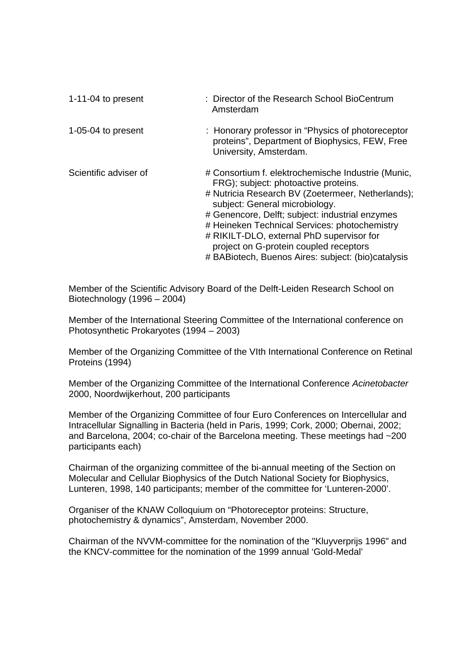| 1-11-04 to present    | : Director of the Research School BioCentrum<br>Amsterdam                                                                                                                                                                                                                                                                                                                                                                          |
|-----------------------|------------------------------------------------------------------------------------------------------------------------------------------------------------------------------------------------------------------------------------------------------------------------------------------------------------------------------------------------------------------------------------------------------------------------------------|
| 1-05-04 to present    | : Honorary professor in "Physics of photoreceptor"<br>proteins", Department of Biophysics, FEW, Free<br>University, Amsterdam.                                                                                                                                                                                                                                                                                                     |
| Scientific adviser of | # Consortium f. elektrochemische Industrie (Munic,<br>FRG); subject: photoactive proteins.<br># Nutricia Research BV (Zoetermeer, Netherlands);<br>subject: General microbiology.<br># Genencore, Delft; subject: industrial enzymes<br># Heineken Technical Services: photochemistry<br># RIKILT-DLO, external PhD supervisor for<br>project on G-protein coupled receptors<br># BABiotech, Buenos Aires: subject: (bio)catalysis |

Member of the Scientific Advisory Board of the Delft-Leiden Research School on Biotechnology (1996 – 2004)

Member of the International Steering Committee of the International conference on Photosynthetic Prokaryotes (1994 – 2003)

Member of the Organizing Committee of the VIth International Conference on Retinal Proteins (1994)

Member of the Organizing Committee of the International Conference *Acinetobacter* 2000, Noordwijkerhout, 200 participants

Member of the Organizing Committee of four Euro Conferences on Intercellular and Intracellular Signalling in Bacteria (held in Paris, 1999; Cork, 2000; Obernai, 2002; and Barcelona, 2004; co-chair of the Barcelona meeting. These meetings had ~200 participants each)

Chairman of the organizing committee of the bi-annual meeting of the Section on Molecular and Cellular Biophysics of the Dutch National Society for Biophysics, Lunteren, 1998, 140 participants; member of the committee for 'Lunteren-2000'.

Organiser of the KNAW Colloquium on "Photoreceptor proteins: Structure, photochemistry & dynamics", Amsterdam, November 2000.

Chairman of the NVVM-committee for the nomination of the "Kluyverprijs 1996" and the KNCV-committee for the nomination of the 1999 annual 'Gold-Medal'